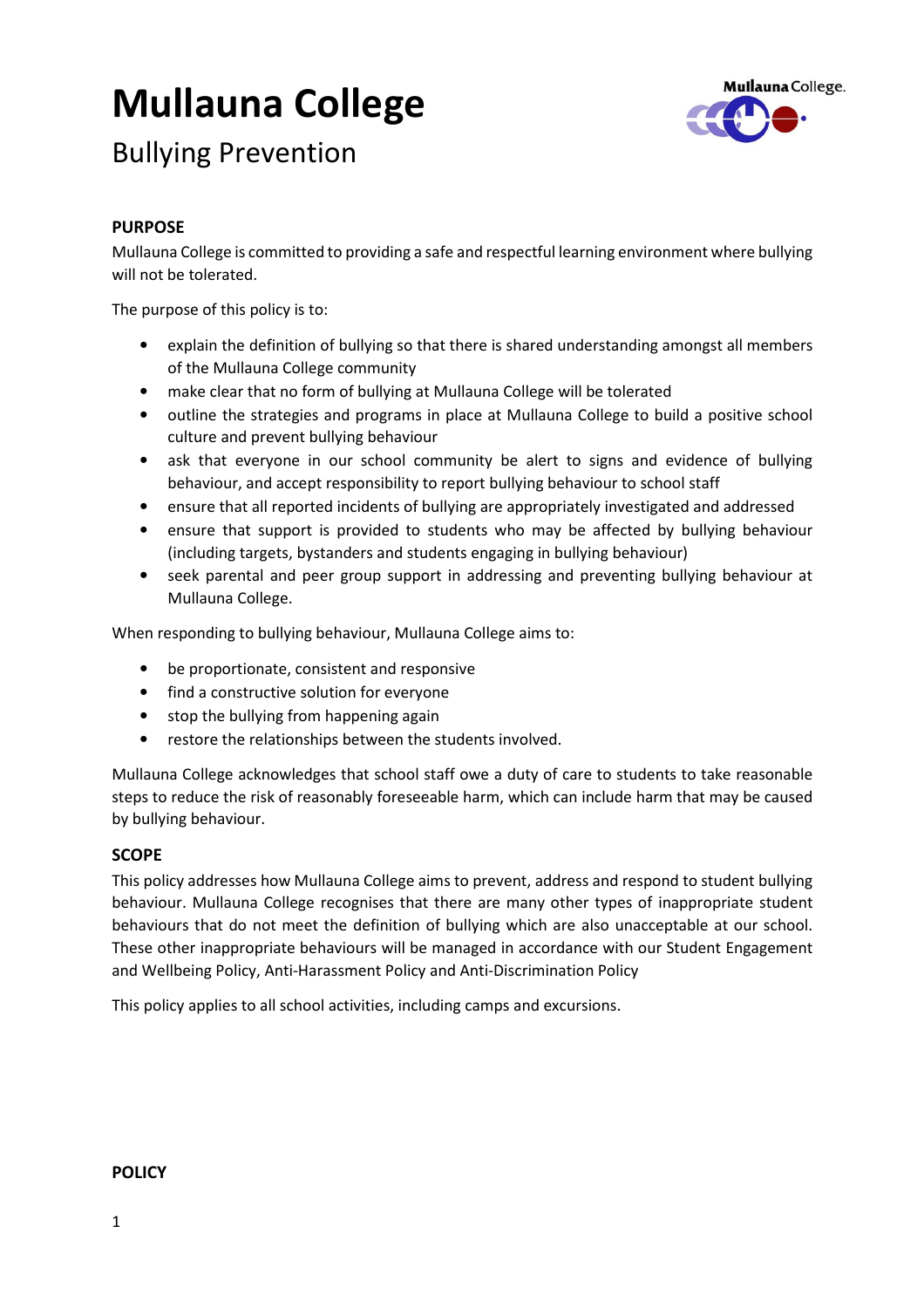# Mullauna College



## Bullying Prevention

#### PURPOSE

Mullauna College is committed to providing a safe and respectful learning environment where bullying will not be tolerated.

The purpose of this policy is to:

- explain the definition of bullying so that there is shared understanding amongst all members of the Mullauna College community
- make clear that no form of bullying at Mullauna College will be tolerated
- outline the strategies and programs in place at Mullauna College to build a positive school culture and prevent bullying behaviour
- ask that everyone in our school community be alert to signs and evidence of bullying behaviour, and accept responsibility to report bullying behaviour to school staff
- ensure that all reported incidents of bullying are appropriately investigated and addressed
- ensure that support is provided to students who may be affected by bullying behaviour (including targets, bystanders and students engaging in bullying behaviour)
- seek parental and peer group support in addressing and preventing bullying behaviour at Mullauna College.

When responding to bullying behaviour, Mullauna College aims to:

- be proportionate, consistent and responsive
- find a constructive solution for everyone
- stop the bullying from happening again
- restore the relationships between the students involved.

Mullauna College acknowledges that school staff owe a duty of care to students to take reasonable steps to reduce the risk of reasonably foreseeable harm, which can include harm that may be caused by bullying behaviour.

#### **SCOPE**

This policy addresses how Mullauna College aims to prevent, address and respond to student bullying behaviour. Mullauna College recognises that there are many other types of inappropriate student behaviours that do not meet the definition of bullying which are also unacceptable at our school. These other inappropriate behaviours will be managed in accordance with our Student Engagement and Wellbeing Policy, Anti-Harassment Policy and Anti-Discrimination Policy

This policy applies to all school activities, including camps and excursions.

#### **POLICY**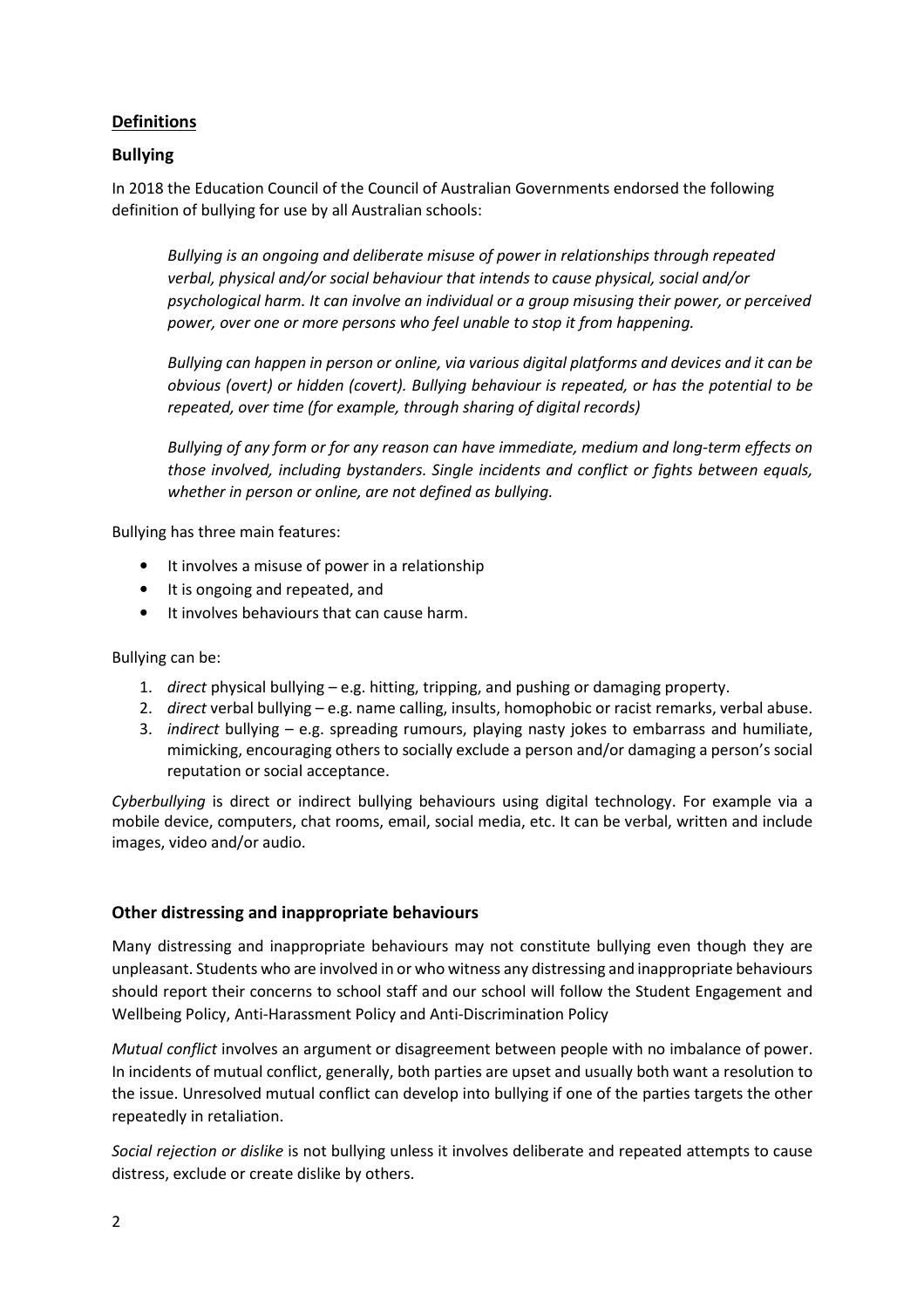#### **Definitions**

#### Bullying

In 2018 the Education Council of the Council of Australian Governments endorsed the following definition of bullying for use by all Australian schools:

Bullying is an ongoing and deliberate misuse of power in relationships through repeated verbal, physical and/or social behaviour that intends to cause physical, social and/or psychological harm. It can involve an individual or a group misusing their power, or perceived power, over one or more persons who feel unable to stop it from happening.

Bullying can happen in person or online, via various digital platforms and devices and it can be obvious (overt) or hidden (covert). Bullying behaviour is repeated, or has the potential to be repeated, over time (for example, through sharing of digital records)

Bullying of any form or for any reason can have immediate, medium and long-term effects on those involved, including bystanders. Single incidents and conflict or fights between equals, whether in person or online, are not defined as bullying.

Bullying has three main features:

- It involves a misuse of power in a relationship
- It is ongoing and repeated, and
- It involves behaviours that can cause harm.

Bullying can be:

- 1. direct physical bullying e.g. hitting, tripping, and pushing or damaging property.
- 2. direct verbal bullying e.g. name calling, insults, homophobic or racist remarks, verbal abuse.
- 3. indirect bullying e.g. spreading rumours, playing nasty jokes to embarrass and humiliate, mimicking, encouraging others to socially exclude a person and/or damaging a person's social reputation or social acceptance.

Cyberbullying is direct or indirect bullying behaviours using digital technology. For example via a mobile device, computers, chat rooms, email, social media, etc. It can be verbal, written and include images, video and/or audio.

#### Other distressing and inappropriate behaviours

Many distressing and inappropriate behaviours may not constitute bullying even though they are unpleasant. Students who are involved in or who witness any distressing and inappropriate behaviours should report their concerns to school staff and our school will follow the Student Engagement and Wellbeing Policy, Anti-Harassment Policy and Anti-Discrimination Policy

Mutual conflict involves an argument or disagreement between people with no imbalance of power. In incidents of mutual conflict, generally, both parties are upset and usually both want a resolution to the issue. Unresolved mutual conflict can develop into bullying if one of the parties targets the other repeatedly in retaliation.

Social rejection or dislike is not bullying unless it involves deliberate and repeated attempts to cause distress, exclude or create dislike by others.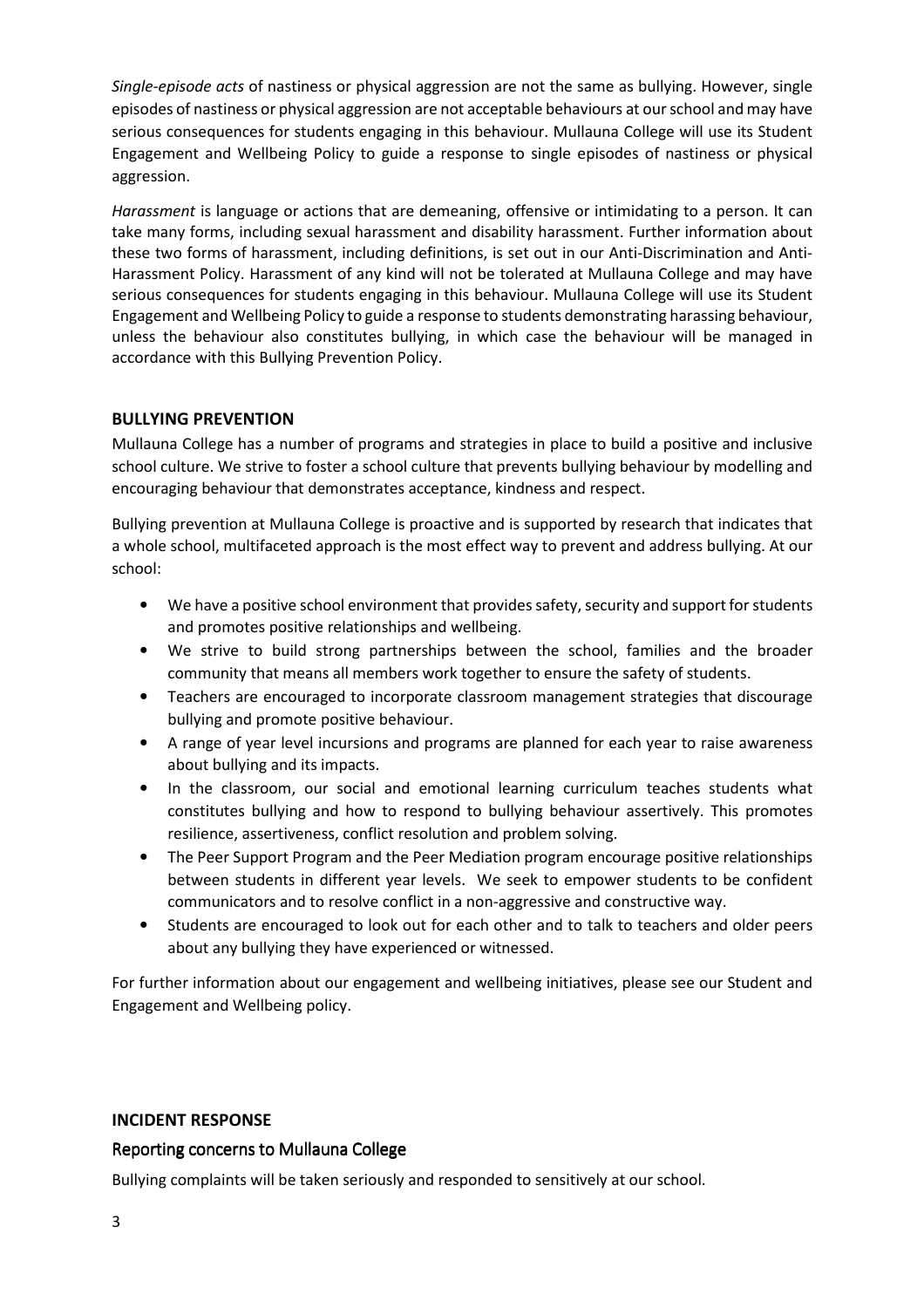Single-episode acts of nastiness or physical aggression are not the same as bullying. However, single episodes of nastiness or physical aggression are not acceptable behaviours at our school and may have serious consequences for students engaging in this behaviour. Mullauna College will use its Student Engagement and Wellbeing Policy to guide a response to single episodes of nastiness or physical aggression.

Harassment is language or actions that are demeaning, offensive or intimidating to a person. It can take many forms, including sexual harassment and disability harassment. Further information about these two forms of harassment, including definitions, is set out in our Anti-Discrimination and Anti-Harassment Policy. Harassment of any kind will not be tolerated at Mullauna College and may have serious consequences for students engaging in this behaviour. Mullauna College will use its Student Engagement and Wellbeing Policy to guide a response to students demonstrating harassing behaviour, unless the behaviour also constitutes bullying, in which case the behaviour will be managed in accordance with this Bullying Prevention Policy.

#### BULLYING PREVENTION

Mullauna College has a number of programs and strategies in place to build a positive and inclusive school culture. We strive to foster a school culture that prevents bullying behaviour by modelling and encouraging behaviour that demonstrates acceptance, kindness and respect.

Bullying prevention at Mullauna College is proactive and is supported by research that indicates that a whole school, multifaceted approach is the most effect way to prevent and address bullying. At our school:

- We have a positive school environment that provides safety, security and support for students and promotes positive relationships and wellbeing.
- We strive to build strong partnerships between the school, families and the broader community that means all members work together to ensure the safety of students.
- Teachers are encouraged to incorporate classroom management strategies that discourage bullying and promote positive behaviour.
- A range of year level incursions and programs are planned for each year to raise awareness about bullying and its impacts.
- In the classroom, our social and emotional learning curriculum teaches students what constitutes bullying and how to respond to bullying behaviour assertively. This promotes resilience, assertiveness, conflict resolution and problem solving.
- The Peer Support Program and the Peer Mediation program encourage positive relationships between students in different year levels. We seek to empower students to be confident communicators and to resolve conflict in a non-aggressive and constructive way.
- Students are encouraged to look out for each other and to talk to teachers and older peers about any bullying they have experienced or witnessed.

For further information about our engagement and wellbeing initiatives, please see our Student and Engagement and Wellbeing policy.

#### INCIDENT RESPONSE

#### Reporting concerns to Mullauna College

Bullying complaints will be taken seriously and responded to sensitively at our school.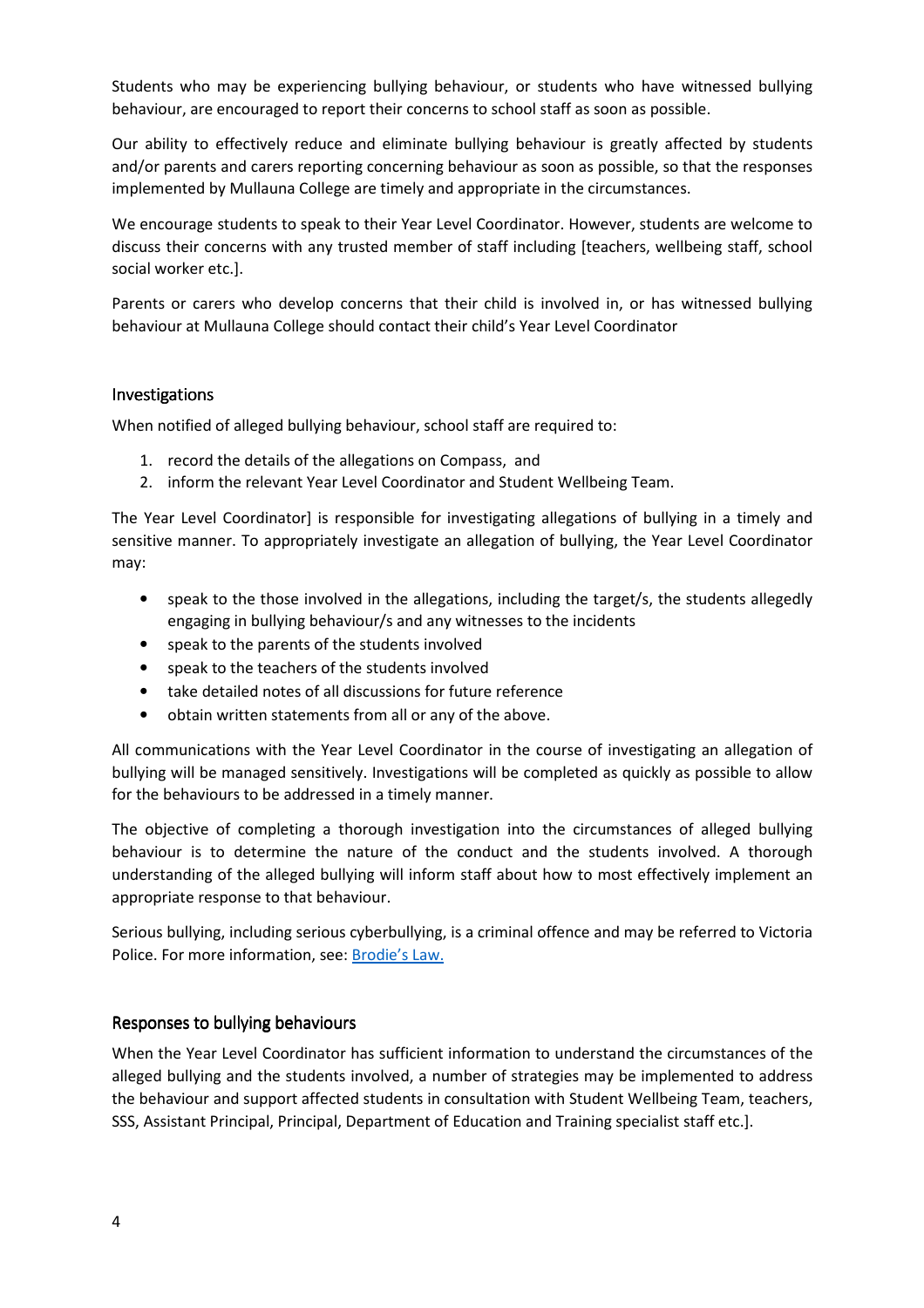Students who may be experiencing bullying behaviour, or students who have witnessed bullying behaviour, are encouraged to report their concerns to school staff as soon as possible.

Our ability to effectively reduce and eliminate bullying behaviour is greatly affected by students and/or parents and carers reporting concerning behaviour as soon as possible, so that the responses implemented by Mullauna College are timely and appropriate in the circumstances.

We encourage students to speak to their Year Level Coordinator. However, students are welcome to discuss their concerns with any trusted member of staff including [teachers, wellbeing staff, school social worker etc.].

Parents or carers who develop concerns that their child is involved in, or has witnessed bullying behaviour at Mullauna College should contact their child's Year Level Coordinator

#### **Investigations**

When notified of alleged bullying behaviour, school staff are required to:

- 1. record the details of the allegations on Compass, and
- 2. inform the relevant Year Level Coordinator and Student Wellbeing Team.

The Year Level Coordinator] is responsible for investigating allegations of bullying in a timely and sensitive manner. To appropriately investigate an allegation of bullying, the Year Level Coordinator may:

- speak to the those involved in the allegations, including the target/s, the students allegedly engaging in bullying behaviour/s and any witnesses to the incidents
- speak to the parents of the students involved
- speak to the teachers of the students involved
- take detailed notes of all discussions for future reference
- obtain written statements from all or any of the above.

All communications with the Year Level Coordinator in the course of investigating an allegation of bullying will be managed sensitively. Investigations will be completed as quickly as possible to allow for the behaviours to be addressed in a timely manner.

The objective of completing a thorough investigation into the circumstances of alleged bullying behaviour is to determine the nature of the conduct and the students involved. A thorough understanding of the alleged bullying will inform staff about how to most effectively implement an appropriate response to that behaviour.

Serious bullying, including serious cyberbullying, is a criminal offence and may be referred to Victoria Police. For more information, see: Brodie's Law.

#### Responses to bullying behaviours

When the Year Level Coordinator has sufficient information to understand the circumstances of the alleged bullying and the students involved, a number of strategies may be implemented to address the behaviour and support affected students in consultation with Student Wellbeing Team, teachers, SSS, Assistant Principal, Principal, Department of Education and Training specialist staff etc.].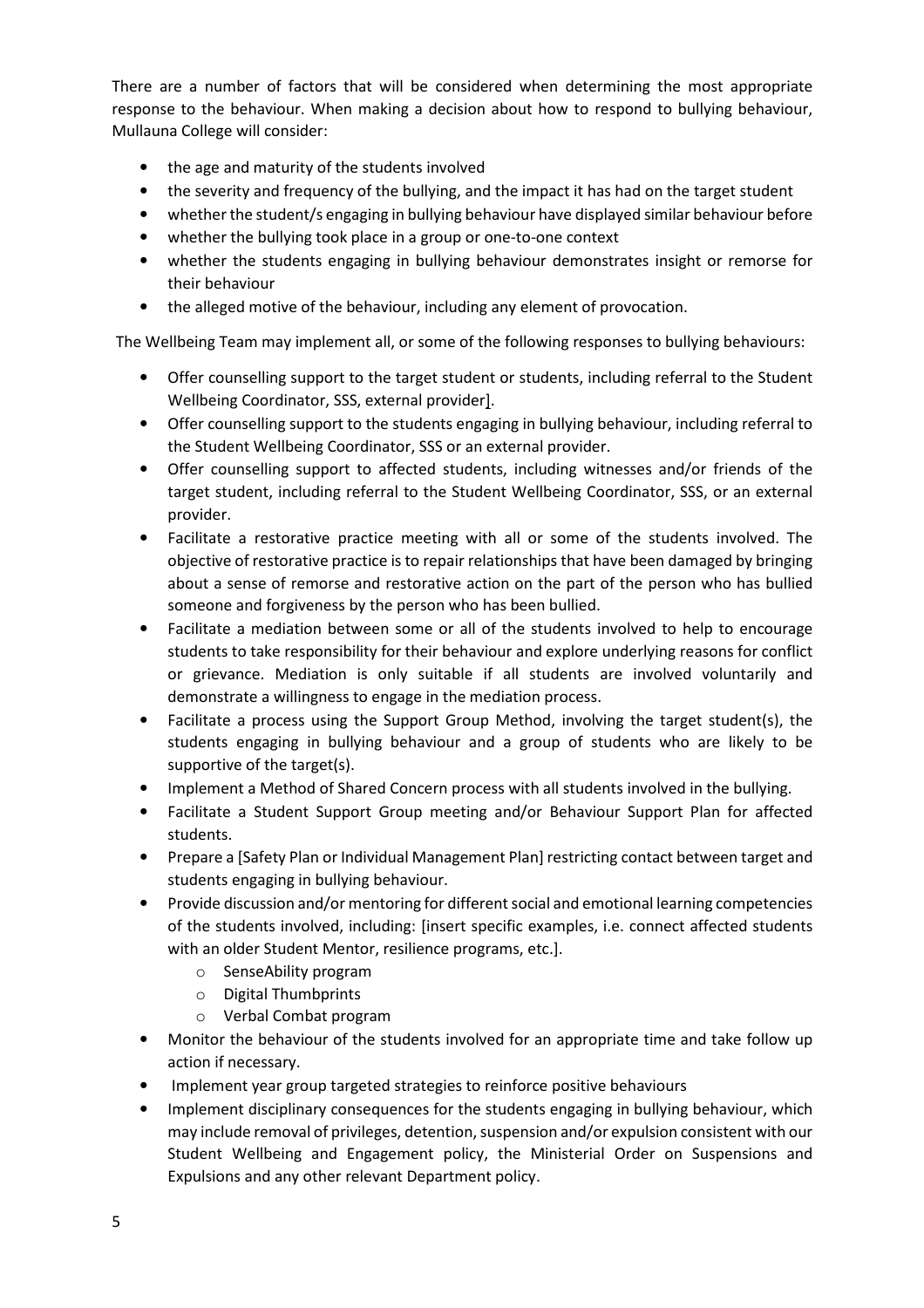There are a number of factors that will be considered when determining the most appropriate response to the behaviour. When making a decision about how to respond to bullying behaviour, Mullauna College will consider:

- the age and maturity of the students involved
- the severity and frequency of the bullying, and the impact it has had on the target student
- whether the student/s engaging in bullying behaviour have displayed similar behaviour before
- whether the bullying took place in a group or one-to-one context
- whether the students engaging in bullying behaviour demonstrates insight or remorse for their behaviour
- the alleged motive of the behaviour, including any element of provocation.

The Wellbeing Team may implement all, or some of the following responses to bullying behaviours:

- Offer counselling support to the target student or students, including referral to the Student Wellbeing Coordinator, SSS, external provider].
- Offer counselling support to the students engaging in bullying behaviour, including referral to the Student Wellbeing Coordinator, SSS or an external provider.
- Offer counselling support to affected students, including witnesses and/or friends of the target student, including referral to the Student Wellbeing Coordinator, SSS, or an external provider.
- Facilitate a restorative practice meeting with all or some of the students involved. The objective of restorative practice is to repair relationships that have been damaged by bringing about a sense of remorse and restorative action on the part of the person who has bullied someone and forgiveness by the person who has been bullied.
- Facilitate a mediation between some or all of the students involved to help to encourage students to take responsibility for their behaviour and explore underlying reasons for conflict or grievance. Mediation is only suitable if all students are involved voluntarily and demonstrate a willingness to engage in the mediation process.
- Facilitate a process using the Support Group Method, involving the target student(s), the students engaging in bullying behaviour and a group of students who are likely to be supportive of the target(s).
- Implement a Method of Shared Concern process with all students involved in the bullying.
- Facilitate a Student Support Group meeting and/or Behaviour Support Plan for affected students.
- Prepare a [Safety Plan or Individual Management Plan] restricting contact between target and students engaging in bullying behaviour.
- Provide discussion and/or mentoring for different social and emotional learning competencies of the students involved, including: [insert specific examples, i.e. connect affected students with an older Student Mentor, resilience programs, etc.].
	- o SenseAbility program
	- o Digital Thumbprints
	- o Verbal Combat program
- Monitor the behaviour of the students involved for an appropriate time and take follow up action if necessary.
- Implement year group targeted strategies to reinforce positive behaviours
- Implement disciplinary consequences for the students engaging in bullying behaviour, which may include removal of privileges, detention, suspension and/or expulsion consistent with our Student Wellbeing and Engagement policy, the Ministerial Order on Suspensions and Expulsions and any other relevant Department policy.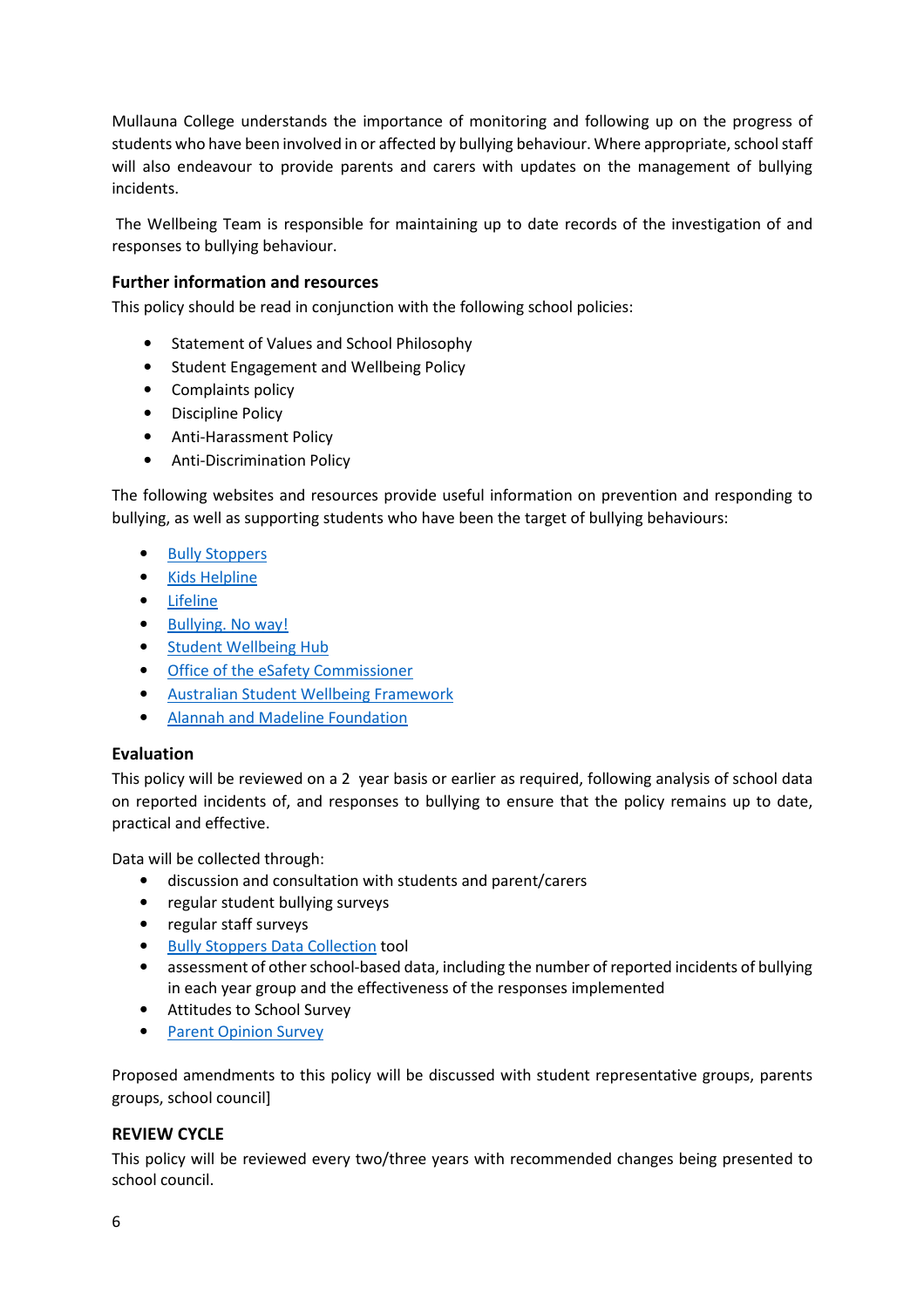Mullauna College understands the importance of monitoring and following up on the progress of students who have been involved in or affected by bullying behaviour. Where appropriate, school staff will also endeavour to provide parents and carers with updates on the management of bullying incidents.

 The Wellbeing Team is responsible for maintaining up to date records of the investigation of and responses to bullying behaviour.

#### Further information and resources

This policy should be read in conjunction with the following school policies:

- Statement of Values and School Philosophy
- Student Engagement and Wellbeing Policy
- Complaints policy
- Discipline Policy
- Anti-Harassment Policy
- Anti-Discrimination Policy

The following websites and resources provide useful information on prevention and responding to bullying, as well as supporting students who have been the target of bullying behaviours:

- **Bully Stoppers**
- Kids Helpline
- Lifeline
- Bullying. No way!
- Student Wellbeing Hub
- Office of the eSafety Commissioner
- Australian Student Wellbeing Framework
- Alannah and Madeline Foundation

#### Evaluation

This policy will be reviewed on a 2 year basis or earlier as required, following analysis of school data on reported incidents of, and responses to bullying to ensure that the policy remains up to date, practical and effective.

Data will be collected through:

- discussion and consultation with students and parent/carers
- regular student bullying surveys
- regular staff surveys
- Bully Stoppers Data Collection tool
- assessment of other school-based data, including the number of reported incidents of bullying in each year group and the effectiveness of the responses implemented
- Attitudes to School Survey
- Parent Opinion Survey

Proposed amendments to this policy will be discussed with student representative groups, parents groups, school council]

#### REVIEW CYCLE

This policy will be reviewed every two/three years with recommended changes being presented to school council.